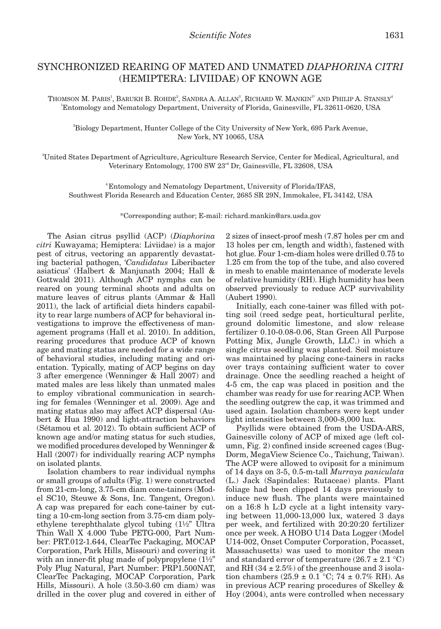## SYNCHRONIZED REARING OF MATED AND UNMATED *DIAPHORINA CITRI* (HEMIPTERA: LIVIIDAE) OF KNOWN AGE

Thomson M. Paris<sup>1</sup>, Barukh B. Rohde<sup>2</sup>, Sandra A. Allan<sup>3</sup>, Richard W. Mankin<sup>3\*</sup> and Philip A. Stansly<sup>4</sup> 1 Entomology and Nematology Department, University of Florida, Gainesville, FL 32611-0620, USA

2 Biology Department, Hunter College of the City University of New York, 695 Park Avenue, New York, NY 10065, USA

3 United States Department of Agriculture, Agriculture Research Service, Center for Medical, Agricultural, and Veterinary Entomology, 1700 SW 23<sup>rd</sup> Dr, Gainesville, FL 32608, USA

4.Entomology and Nematology Department, University of Florida/IFAS, Southwest Florida Research and Education Center, 2685 SR 29N, Immokalee, FL 34142, USA

\*Corresponding author; E-mail: richard.mankin@ars.usda.gov

The Asian citrus psyllid (ACP) (*Diaphorina citri* Kuwayama; Hemiptera: Liviidae) is a major pest of citrus, vectoring an apparently devastating bacterial pathogen, '*Candidatus* Liberibacter asiaticus' (Halbert & Manjunath 2004; Hall & Gottwald 2011). Although ACP nymphs can be reared on young terminal shoots and adults on mature leaves of citrus plants (Ammar & Hall 2011), the lack of artificial diets hinders capability to rear large numbers of ACP for behavioral investigations to improve the effectiveness of management programs (Hall et al. 2010). In addition, rearing procedures that produce ACP of known age and mating status are needed for a wide range of behavioral studies, including mating and orientation. Typically, mating of ACP begins on day 3 after emergence (Wenninger & Hall 2007) and mated males are less likely than unmated males to employ vibrational communication in searching for females (Wenninger et al. 2009). Age and mating status also may affect ACP dispersal (Aubert & Hua 1990) and light-attraction behaviors (Sétamou et al. 2012). To obtain sufficient ACP of known age and/or mating status for such studies, we modified procedures developed by Wenninger & Hall (2007) for individually rearing ACP nymphs on isolated plants.

Isolation chambers to rear individual nymphs or small groups of adults (Fig. 1) were constructed from 21-cm-long, 3.75-cm diam cone-tainers (Model SC10, Steuwe & Sons, Inc. Tangent, Oregon). A cap was prepared for each cone-tainer by cutting a 10-cm-long section from 3.75-cm diam polyethylene terephthalate glycol tubing (1½" Ultra Thin Wall X 4.000 Tube PETG-000, Part Number: PRT.012-1.644, ClearTec Packaging, MOCAP Corporation, Park Hills, Missouri) and covering it with an inner-fit plug made of polypropylene  $(1\frac{1}{2})^n$ Poly Plug Natural, Part Number: PRP1.500NAT, ClearTec Packaging, MOCAP Corporation, Park Hills, Missouri). A hole (3.50-3.60 cm diam) was drilled in the cover plug and covered in either of 2 sizes of insect-proof mesh (7.87 holes per cm and 13 holes per cm, length and width), fastened with hot glue. Four 1-cm-diam holes were drilled 0.75 to 1.25 cm from the top of the tube, and also covered in mesh to enable maintenance of moderate levels of relative humidity (RH). High humidity has been observed previously to reduce ACP survivability (Aubert 1990).

Initially, each cone-tainer was filled with potting soil (reed sedge peat, horticultural perlite, ground dolomitic limestone, and slow release fertilizer 0.10-0.08-0.06, Stan Green All Purpose Potting Mix, Jungle Growth, LLC.) in which a single citrus seedling was planted. Soil moisture was maintained by placing cone-tainers in racks over trays containing sufficient water to cover drainage. Once the seedling reached a height of 4-5 cm, the cap was placed in position and the chamber was ready for use for rearing ACP. When the seedling outgrew the cap, it was trimmed and used again. Isolation chambers were kept under light intensities between 3,000-8,000 lux.

Psyllids were obtained from the USDA-ARS, Gainesville colony of ACP of mixed age (left column, Fig. 2) confined inside screened cages (Bug-Dorm, MegaView Science Co., Taichung, Taiwan). The ACP were allowed to oviposit for a minimum of 14 days on 3-5, 0.5-m-tall *Murraya paniculata* (L.) Jack (Sapindales: Rutaceae) plants. Plant foliage had been clipped 14 days previously to induce new flush. The plants were maintained on a 16:8 h L:D cycle at a light intensity varying between 11,000-13,000 lux, watered 3 days per week, and fertilized with 20:20:20 fertilizer once per week. A HOBO U14 Data Logger (Model U14-002, Onset Computer Corporation, Pocasset, Massachusetts) was used to monitor the mean and standard error of temperature  $(26.7 \pm 2.1 \degree C)$ and RH  $(34 \pm 2.5\%)$  of the greenhouse and 3 isolation chambers  $(25.9 \pm 0.1 \degree C; 74 \pm 0.7\% \text{ RH})$ . As in previous ACP rearing procedures of Skelley & Hoy (2004), ants were controlled when necessary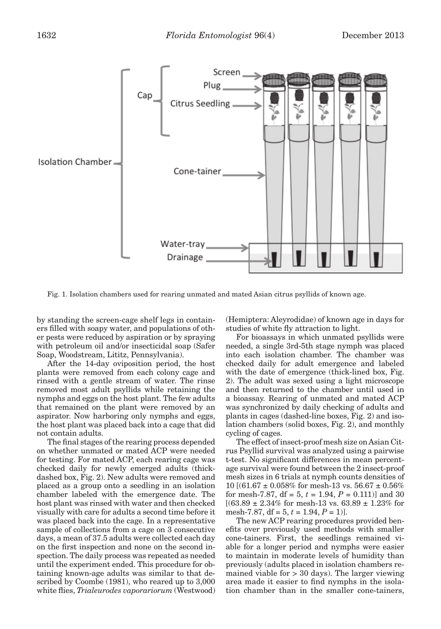

Fig. 1. Isolation chambers used for rearing unmated and mated Asian citrus psyllids of known age.

by standing the screen-cage shelf legs in containers filled with soapy water, and populations of other pests were reduced by aspiration or by spraying with petroleum oil and/or insecticidal soap (Safer Soap, Woodstream, Lititz, Pennsylvania).

After the 14-day oviposition period, the host plants were removed from each colony cage and rinsed with a gentle stream of water. The rinse removed most adult psyllids while retaining the nymphs and eggs on the host plant. The few adults that remained on the plant were removed by an aspirator. Now harboring only nymphs and eggs, the host plant was placed back into a cage that did not contain adults.

The final stages of the rearing process depended on whether unmated or mated ACP were needed for testing. For mated ACP, each rearing cage was checked daily for newly emerged adults (thickdashed box, Fig. 2). New adults were removed and placed as a group onto a seedling in an isolation chamber labeled with the emergence date. The host plant was rinsed with water and then checked visually with care for adults a second time before it was placed back into the cage. In a representative sample of collections from a cage on 3 consecutive days, a mean of 37.5 adults were collected each day on the first inspection and none on the second inspection. The daily process was repeated as needed until the experiment ended. This procedure for obtaining known-age adults was similar to that described by Coombe (1981), who reared up to 3,000 white flies, *Trialeurodes vaporariorum* (Westwood) (Hemiptera: Aleyrodidae) of known age in days for studies of white fly attraction to light.

For bioassays in which unmated psyllids were needed, a single 3rd-5th stage nymph was placed into each isolation chamber. The chamber was checked daily for adult emergence and labeled with the date of emergence (thick-lined box, Fig. 2). The adult was sexed using a light microscope and then returned to the chamber until used in a bioassay. Rearing of unmated and mated ACP was synchronized by daily checking of adults and plants in cages (dashed-line boxes, Fig. 2) and isolation chambers (solid boxes, Fig. 2), and monthly cycling of cages.

The effect of insect-proof mesh size on Asian Citrus Psyllid survival was analyzed using a pairwise t-test. No significant differences in mean percentage survival were found between the 2 insect-proof mesh sizes in 6 trials at nymph counts densities of 10  $[(61.67 \pm 0.058\% \text{ for mesh-13 vs. } 56.67 \pm 0.56\% \text{)}]$ for mesh-7.87,  $df = 5$ ,  $t = 1.94$ ,  $P = 0.111$ ) and 30  $[(63.89 \pm 2.34\% \text{ for mesh-13 vs. } 63.89 \pm 1.23\% \text{ for}$ mesh-7.87, df = 5, *t* = 1.94, *P* = 1)].

The new ACP rearing procedures provided benefits over previously used methods with smaller cone-tainers. First, the seedlings remained viable for a longer period and nymphs were easier to maintain in moderate levels of humidity than previously (adults placed in isolation chambers remained viable for > 30 days). The larger viewing area made it easier to find nymphs in the isolation chamber than in the smaller cone-tainers,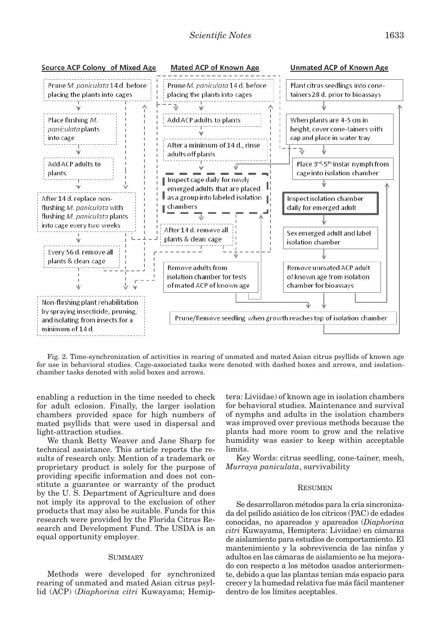

Fig. 2. Time-synchronization of activities in rearing of unmated and mated Asian citrus psyllids of known age for use in behavioral studies. Cage-associated tasks were denoted with dashed boxes and arrows, and isolationchamber tasks denoted with solid boxes and arrows.

enabling a reduction in the time needed to check for adult eclosion. Finally, the larger isolation chambers provided space for high numbers of mated psyllids that were used in dispersal and light-attraction studies.

We thank Betty Weaver and Jane Sharp for technical assistance. This article reports the results of research only. Mention of a trademark or proprietary product is solely for the purpose of providing specific information and does not constitute a guarantee or warranty of the product by the U. S. Department of Agriculture and does not imply its approval to the exclusion of other products that may also be suitable. Funds for this research were provided by the Florida Citrus Research and Development Fund. The USDA is an equal opportunity employer.

## **SUMMARY**

Methods were developed for synchronized rearing of unmated and mated Asian citrus psyllid (ACP) (*Diaphorina citri* Kuwayama; Hemiptera: Liviidae) of known age in isolation chambers for behavioral studies. Maintenance and survival of nymphs and adults in the isolation chambers was improved over previous methods because the plants had more room to grow and the relative humidity was easier to keep within acceptable limits.

Key Words: citrus seedling, cone-tainer, mesh, *Murraya paniculata*, survivability

## **RESUMEN**

Se desarrollaron métodos para la cría sincronizada del psílido asiático de los cítricos (PAC) de edades conocidas, no apareados y apareados (*Diaphorina citri* Kuwayama, Hemiptera: Liviidae) en cámaras de aislamiento para estudios de comportamiento. El mantenimiento y la sobrevivencia de las ninfas y adultos en las cámaras de aislamiento se ha mejorado con respecto a los métodos usados anteriormente, debido a que las plantas tenían más espacio para crecer y la humedad relativa fue más fácil mantener dentro de los límites aceptables.